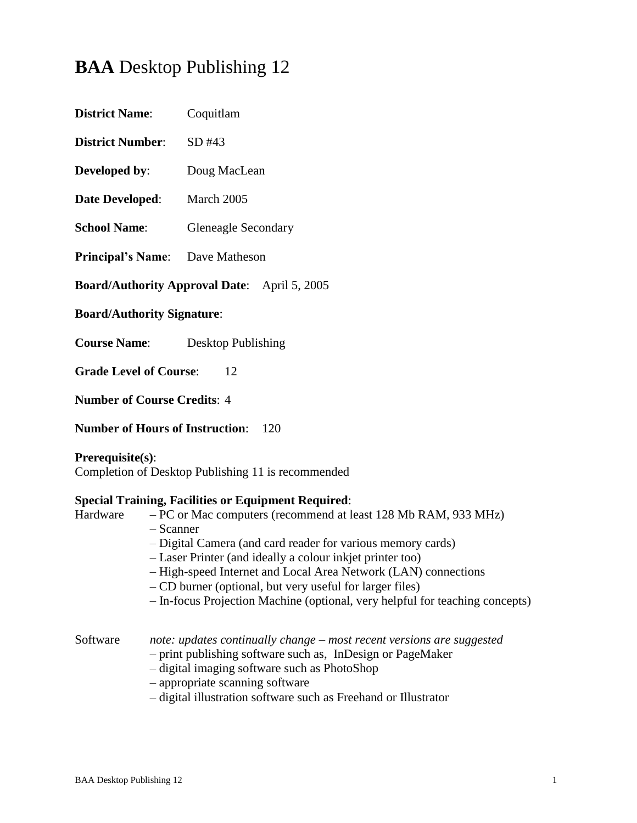# **BAA** Desktop Publishing 12

| <b>District Name:</b>                               | Coquitlam                  |  |
|-----------------------------------------------------|----------------------------|--|
| <b>District Number:</b>                             | SD #43                     |  |
| Developed by:                                       | Doug MacLean               |  |
| <b>Date Developed:</b>                              | March 2005                 |  |
| <b>School Name:</b>                                 | <b>Gleneagle Secondary</b> |  |
| <b>Principal's Name:</b> Dave Matheson              |                            |  |
| <b>Board/Authority Approval Date:</b> April 5, 2005 |                            |  |
| <b>Board/Authority Signature:</b>                   |                            |  |
|                                                     |                            |  |

**Course Name**: Desktop Publishing

**Grade Level of Course:** 12

**Number of Course Credits**: 4

**Number of Hours of Instruction**: 120

# **Prerequisite(s)**:

Completion of Desktop Publishing 11 is recommended

# **Special Training, Facilities or Equipment Required**:

- Hardware PC or Mac computers (recommend at least 128 Mb RAM, 933 MHz) – Scanner
	- Digital Camera (and card reader for various memory cards)
	- Laser Printer (and ideally a colour inkjet printer too)
	- High-speed Internet and Local Area Network (LAN) connections
	- CD burner (optional, but very useful for larger files)
	- In-focus Projection Machine (optional, very helpful for teaching concepts)

Software *note: updates continually change – most recent versions are suggested*

- print publishing software such as, InDesign or PageMaker
- digital imaging software such as PhotoShop
- appropriate scanning software
- digital illustration software such as Freehand or Illustrator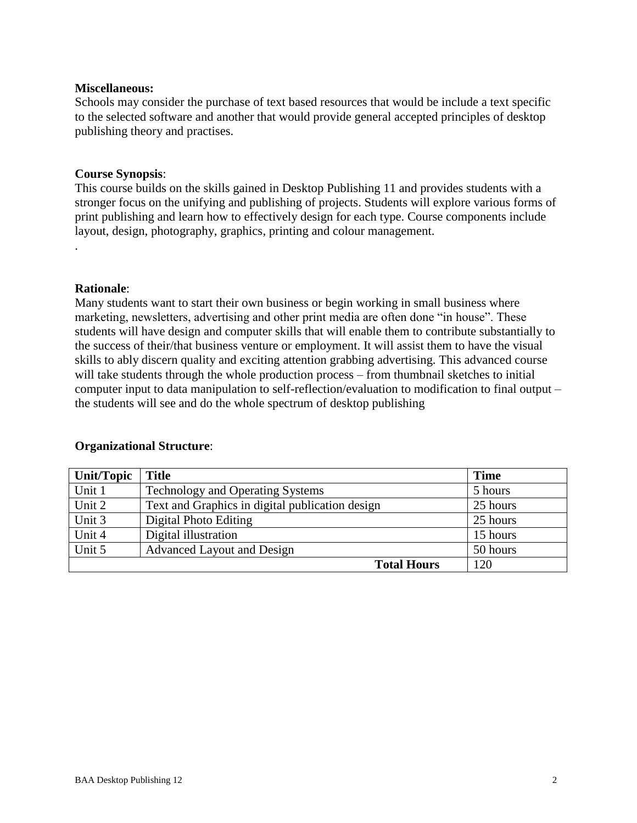#### **Miscellaneous:**

Schools may consider the purchase of text based resources that would be include a text specific to the selected software and another that would provide general accepted principles of desktop publishing theory and practises.

#### **Course Synopsis**:

This course builds on the skills gained in Desktop Publishing 11 and provides students with a stronger focus on the unifying and publishing of projects. Students will explore various forms of print publishing and learn how to effectively design for each type. Course components include layout, design, photography, graphics, printing and colour management.

#### **Rationale**:

.

Many students want to start their own business or begin working in small business where marketing, newsletters, advertising and other print media are often done "in house". These students will have design and computer skills that will enable them to contribute substantially to the success of their/that business venture or employment. It will assist them to have the visual skills to ably discern quality and exciting attention grabbing advertising. This advanced course will take students through the whole production process – from thumbnail sketches to initial computer input to data manipulation to self-reflection/evaluation to modification to final output – the students will see and do the whole spectrum of desktop publishing

| <b>Unit/Topic</b>  | <b>Title</b>                                    | <b>Time</b> |
|--------------------|-------------------------------------------------|-------------|
| Unit 1             | <b>Technology and Operating Systems</b>         | 5 hours     |
| Unit 2             | Text and Graphics in digital publication design | 25 hours    |
| Unit 3             | Digital Photo Editing                           | 25 hours    |
| Unit 4             | Digital illustration                            | 15 hours    |
| Unit 5             | Advanced Layout and Design                      | 50 hours    |
| <b>Total Hours</b> |                                                 | 120         |

# **Organizational Structure**: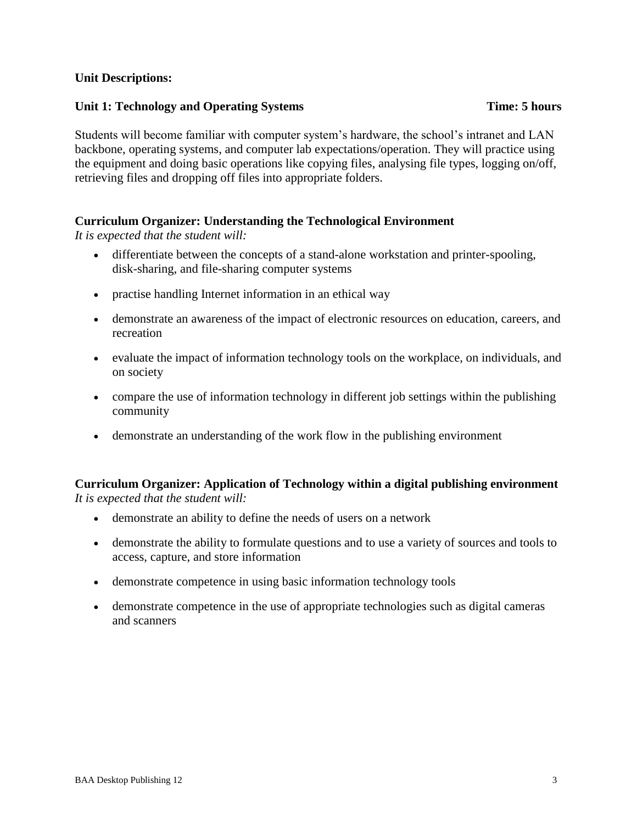# **Unit Descriptions:**

# **Unit 1: Technology and Operating Systems Time: 5 hours**

Students will become familiar with computer system's hardware, the school's intranet and LAN backbone, operating systems, and computer lab expectations/operation. They will practice using the equipment and doing basic operations like copying files, analysing file types, logging on/off, retrieving files and dropping off files into appropriate folders.

# **Curriculum Organizer: Understanding the Technological Environment**

*It is expected that the student will:*

- differentiate between the concepts of a stand-alone workstation and printer-spooling, disk-sharing, and file-sharing computer systems
- practise handling Internet information in an ethical way
- demonstrate an awareness of the impact of electronic resources on education, careers, and recreation
- evaluate the impact of information technology tools on the workplace, on individuals, and on society
- compare the use of information technology in different job settings within the publishing community
- demonstrate an understanding of the work flow in the publishing environment

#### **Curriculum Organizer: Application of Technology within a digital publishing environment** *It is expected that the student will:*

- demonstrate an ability to define the needs of users on a network
- demonstrate the ability to formulate questions and to use a variety of sources and tools to access, capture, and store information
- demonstrate competence in using basic information technology tools
- demonstrate competence in the use of appropriate technologies such as digital cameras and scanners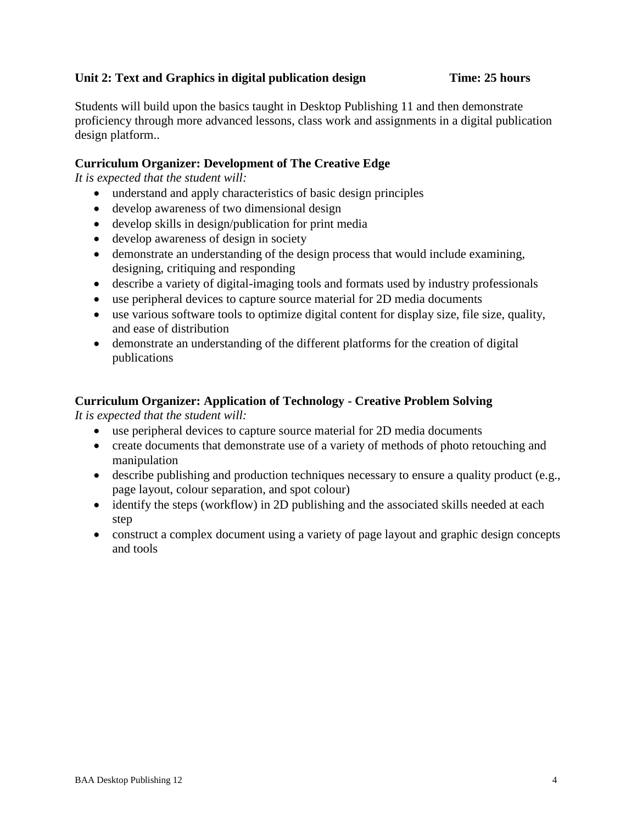# **Unit 2: Text and Graphics in digital publication design Time: 25 hours**

Students will build upon the basics taught in Desktop Publishing 11 and then demonstrate proficiency through more advanced lessons, class work and assignments in a digital publication design platform..

# **Curriculum Organizer: Development of The Creative Edge**

*It is expected that the student will:*

- understand and apply characteristics of basic design principles
- develop awareness of two dimensional design
- develop skills in design/publication for print media
- develop awareness of design in society
- demonstrate an understanding of the design process that would include examining, designing, critiquing and responding
- describe a variety of digital-imaging tools and formats used by industry professionals
- use peripheral devices to capture source material for 2D media documents
- use various software tools to optimize digital content for display size, file size, quality, and ease of distribution
- demonstrate an understanding of the different platforms for the creation of digital publications

# **Curriculum Organizer: Application of Technology - Creative Problem Solving**

- use peripheral devices to capture source material for 2D media documents
- create documents that demonstrate use of a variety of methods of photo retouching and manipulation
- describe publishing and production techniques necessary to ensure a quality product (e.g., page layout, colour separation, and spot colour)
- identify the steps (workflow) in 2D publishing and the associated skills needed at each step
- construct a complex document using a variety of page layout and graphic design concepts and tools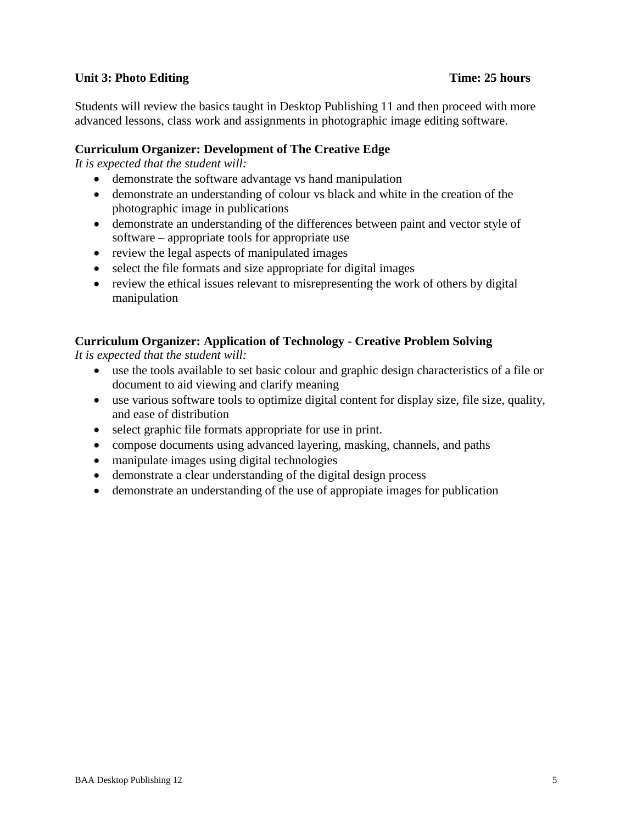# **Unit 3: Photo Editing Time: 25 hours**

Students will review the basics taught in Desktop Publishing 11 and then proceed with more advanced lessons, class work and assignments in photographic image editing software.

# **Curriculum Organizer: Development of The Creative Edge**

*It is expected that the student will:*

- demonstrate the software advantage vs hand manipulation
- demonstrate an understanding of colour vs black and white in the creation of the photographic image in publications
- demonstrate an understanding of the differences between paint and vector style of software – appropriate tools for appropriate use
- review the legal aspects of manipulated images
- select the file formats and size appropriate for digital images
- review the ethical issues relevant to misrepresenting the work of others by digital manipulation

# **Curriculum Organizer: Application of Technology - Creative Problem Solving**

- use the tools available to set basic colour and graphic design characteristics of a file or document to aid viewing and clarify meaning
- use various software tools to optimize digital content for display size, file size, quality, and ease of distribution
- select graphic file formats appropriate for use in print.
- compose documents using advanced layering, masking, channels, and paths
- manipulate images using digital technologies
- demonstrate a clear understanding of the digital design process
- demonstrate an understanding of the use of appropiate images for publication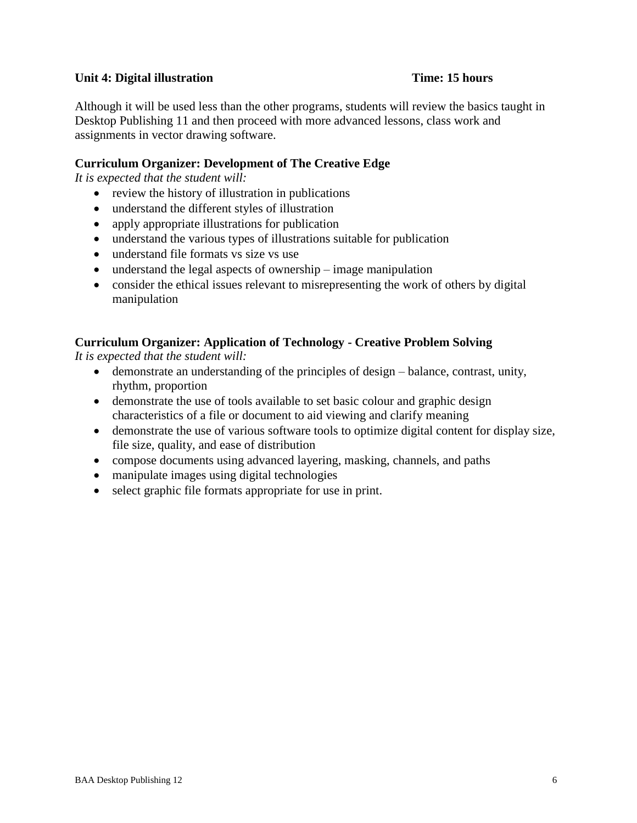# **Unit 4: Digital illustration Time: 15 hours**

Although it will be used less than the other programs, students will review the basics taught in Desktop Publishing 11 and then proceed with more advanced lessons, class work and assignments in vector drawing software.

# **Curriculum Organizer: Development of The Creative Edge**

*It is expected that the student will:*

- review the history of illustration in publications
- understand the different styles of illustration
- apply appropriate illustrations for publication
- understand the various types of illustrations suitable for publication
- understand file formats vs size vs use
- understand the legal aspects of ownership image manipulation
- consider the ethical issues relevant to misrepresenting the work of others by digital manipulation

# **Curriculum Organizer: Application of Technology - Creative Problem Solving**

- demonstrate an understanding of the principles of design balance, contrast, unity, rhythm, proportion
- demonstrate the use of tools available to set basic colour and graphic design characteristics of a file or document to aid viewing and clarify meaning
- demonstrate the use of various software tools to optimize digital content for display size, file size, quality, and ease of distribution
- compose documents using advanced layering, masking, channels, and paths
- manipulate images using digital technologies
- select graphic file formats appropriate for use in print.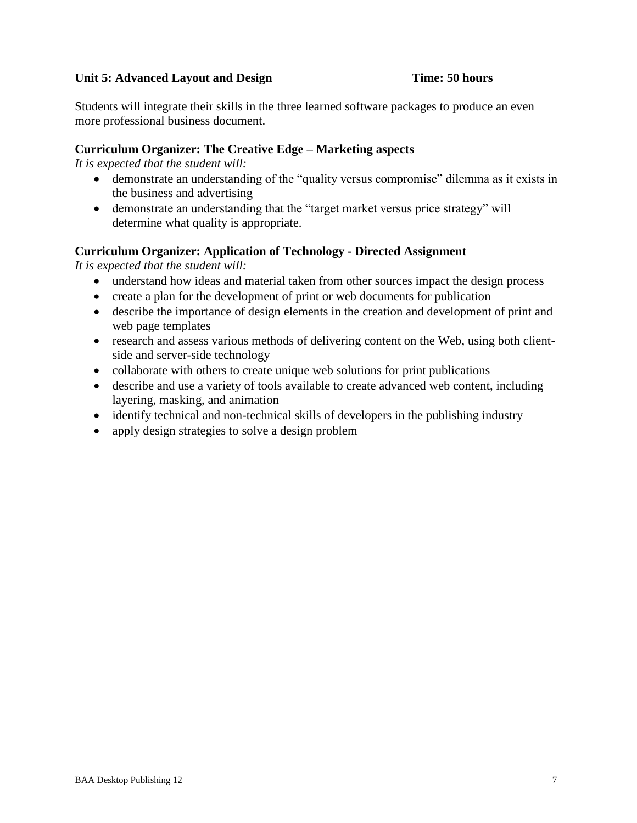# Unit 5: Advanced Layout and Design **Time: 50 hours**

Students will integrate their skills in the three learned software packages to produce an even more professional business document.

# **Curriculum Organizer: The Creative Edge – Marketing aspects**

*It is expected that the student will:*

- demonstrate an understanding of the "quality versus compromise" dilemma as it exists in the business and advertising
- demonstrate an understanding that the "target market versus price strategy" will determine what quality is appropriate.

# **Curriculum Organizer: Application of Technology - Directed Assignment**

- understand how ideas and material taken from other sources impact the design process
- create a plan for the development of print or web documents for publication
- describe the importance of design elements in the creation and development of print and web page templates
- research and assess various methods of delivering content on the Web, using both clientside and server-side technology
- collaborate with others to create unique web solutions for print publications
- describe and use a variety of tools available to create advanced web content, including layering, masking, and animation
- identify technical and non-technical skills of developers in the publishing industry
- apply design strategies to solve a design problem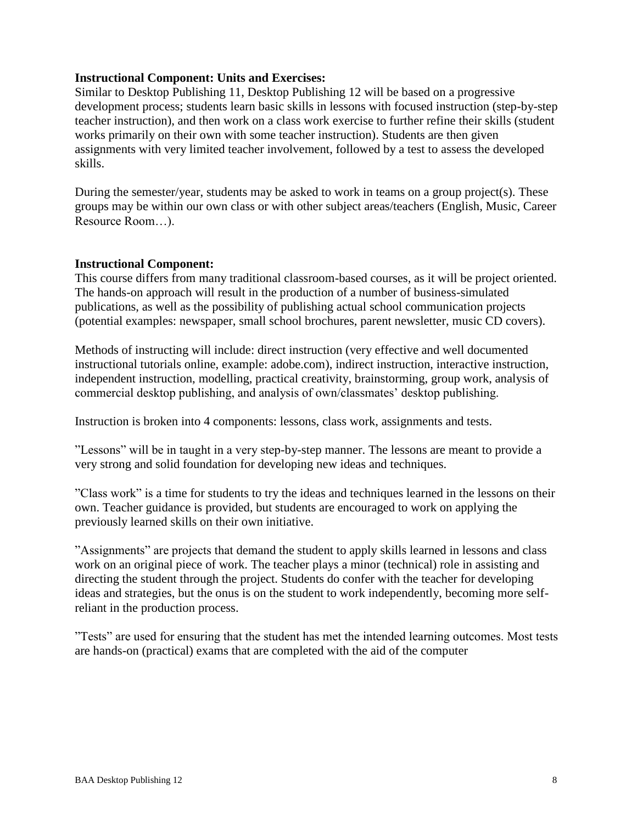# **Instructional Component: Units and Exercises:**

Similar to Desktop Publishing 11, Desktop Publishing 12 will be based on a progressive development process; students learn basic skills in lessons with focused instruction (step-by-step teacher instruction), and then work on a class work exercise to further refine their skills (student works primarily on their own with some teacher instruction). Students are then given assignments with very limited teacher involvement, followed by a test to assess the developed skills.

During the semester/year, students may be asked to work in teams on a group project(s). These groups may be within our own class or with other subject areas/teachers (English, Music, Career Resource Room…).

# **Instructional Component:**

This course differs from many traditional classroom-based courses, as it will be project oriented. The hands-on approach will result in the production of a number of business-simulated publications, as well as the possibility of publishing actual school communication projects (potential examples: newspaper, small school brochures, parent newsletter, music CD covers).

Methods of instructing will include: direct instruction (very effective and well documented instructional tutorials online, example: adobe.com), indirect instruction, interactive instruction, independent instruction, modelling, practical creativity, brainstorming, group work, analysis of commercial desktop publishing, and analysis of own/classmates' desktop publishing.

Instruction is broken into 4 components: lessons, class work, assignments and tests.

"Lessons" will be in taught in a very step-by-step manner. The lessons are meant to provide a very strong and solid foundation for developing new ideas and techniques.

"Class work" is a time for students to try the ideas and techniques learned in the lessons on their own. Teacher guidance is provided, but students are encouraged to work on applying the previously learned skills on their own initiative.

"Assignments" are projects that demand the student to apply skills learned in lessons and class work on an original piece of work. The teacher plays a minor (technical) role in assisting and directing the student through the project. Students do confer with the teacher for developing ideas and strategies, but the onus is on the student to work independently, becoming more selfreliant in the production process.

"Tests" are used for ensuring that the student has met the intended learning outcomes. Most tests are hands-on (practical) exams that are completed with the aid of the computer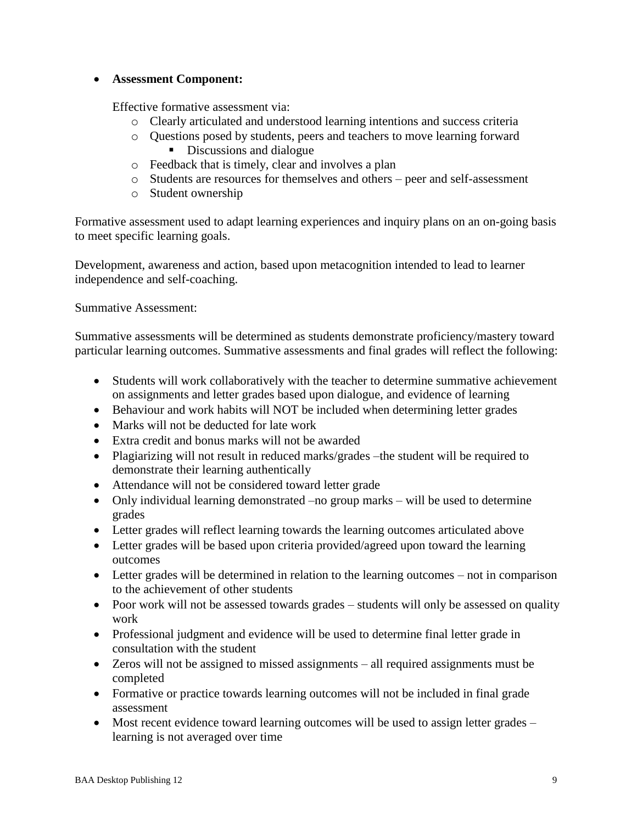# **Assessment Component:**

Effective formative assessment via:

- o Clearly articulated and understood learning intentions and success criteria
- o Questions posed by students, peers and teachers to move learning forward Discussions and dialogue
- o Feedback that is timely, clear and involves a plan
- o Students are resources for themselves and others peer and self-assessment
- o Student ownership

Formative assessment used to adapt learning experiences and inquiry plans on an on-going basis to meet specific learning goals.

Development, awareness and action, based upon metacognition intended to lead to learner independence and self-coaching.

Summative Assessment:

Summative assessments will be determined as students demonstrate proficiency/mastery toward particular learning outcomes. Summative assessments and final grades will reflect the following:

- Students will work collaboratively with the teacher to determine summative achievement on assignments and letter grades based upon dialogue, and evidence of learning
- Behaviour and work habits will NOT be included when determining letter grades
- Marks will not be deducted for late work
- Extra credit and bonus marks will not be awarded
- Plagiarizing will not result in reduced marks/grades –the student will be required to demonstrate their learning authentically
- Attendance will not be considered toward letter grade
- Only individual learning demonstrated –no group marks will be used to determine grades
- Letter grades will reflect learning towards the learning outcomes articulated above
- Letter grades will be based upon criteria provided/agreed upon toward the learning outcomes
- Letter grades will be determined in relation to the learning outcomes not in comparison to the achievement of other students
- Poor work will not be assessed towards grades students will only be assessed on quality work
- Professional judgment and evidence will be used to determine final letter grade in consultation with the student
- Zeros will not be assigned to missed assignments all required assignments must be completed
- Formative or practice towards learning outcomes will not be included in final grade assessment
- Most recent evidence toward learning outcomes will be used to assign letter grades learning is not averaged over time